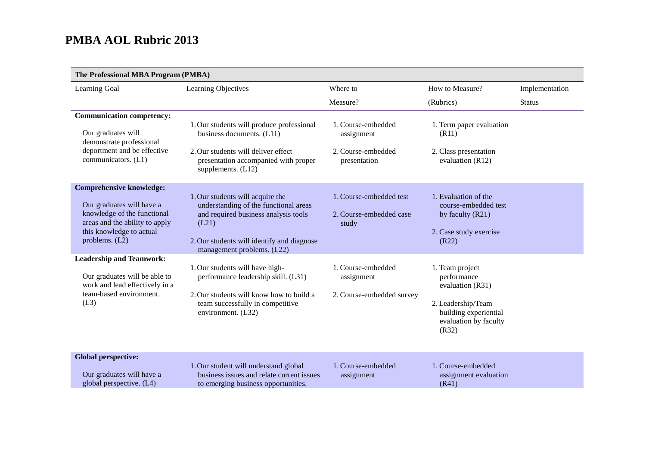| The Professional MBA Program (PMBA)                                                                                                                                           |                                                                                                                                                                                                        |                                                                        |                                                                                                                                     |                |
|-------------------------------------------------------------------------------------------------------------------------------------------------------------------------------|--------------------------------------------------------------------------------------------------------------------------------------------------------------------------------------------------------|------------------------------------------------------------------------|-------------------------------------------------------------------------------------------------------------------------------------|----------------|
| Learning Goal                                                                                                                                                                 | Learning Objectives                                                                                                                                                                                    | Where to                                                               | How to Measure?                                                                                                                     | Implementation |
|                                                                                                                                                                               |                                                                                                                                                                                                        | Measure?                                                               | (Rubrics)                                                                                                                           | <b>Status</b>  |
| <b>Communication competency:</b><br>Our graduates will<br>demonstrate professional<br>deportment and be effective<br>communicators. (L1)                                      | 1. Our students will produce professional<br>business documents. (L11)<br>2. Our students will deliver effect<br>presentation accompanied with proper<br>supplements. $(L12)$                          | 1. Course-embedded<br>assignment<br>2. Course-embedded<br>presentation | 1. Term paper evaluation<br>(R11)<br>2. Class presentation<br>evaluation (R12)                                                      |                |
| <b>Comprehensive knowledge:</b><br>Our graduates will have a<br>knowledge of the functional<br>areas and the ability to apply<br>this knowledge to actual<br>problems. $(L2)$ | 1. Our students will acquire the<br>understanding of the functional areas<br>and required business analysis tools<br>(L21)<br>2. Our students will identify and diagnose<br>management problems. (L22) | 1. Course-embedded test<br>2. Course-embedded case<br>study            | 1. Evaluation of the<br>course-embedded test<br>by faculty (R21)<br>2. Case study exercise<br>(R22)                                 |                |
| <b>Leadership and Teamwork:</b><br>Our graduates will be able to<br>work and lead effectively in a<br>team-based environment.<br>(L3)                                         | 1. Our students will have high-<br>performance leadership skill. (L31)<br>2. Our students will know how to build a<br>team successfully in competitive<br>environment. (L32)                           | 1. Course-embedded<br>assignment<br>2. Course-embedded survey          | 1. Team project<br>performance<br>evaluation (R31)<br>2. Leadership/Team<br>building experiential<br>evaluation by faculty<br>(R32) |                |
| <b>Global perspective:</b><br>Our graduates will have a<br>global perspective. (L4)                                                                                           | 1. Our student will understand global<br>business issues and relate current issues<br>to emerging business opportunities.                                                                              | 1. Course-embedded<br>assignment                                       | 1. Course-embedded<br>assignment evaluation<br>(R41)                                                                                |                |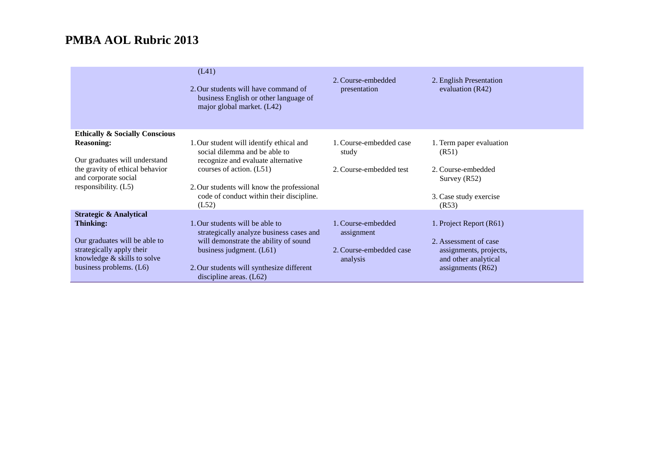|                                                                                          | (L41)<br>2. Our students will have command of<br>business English or other language of<br>major global market. (L42) | 2. Course-embedded<br>presentation  | 2. English Presentation<br>evaluation $(R42)$  |
|------------------------------------------------------------------------------------------|----------------------------------------------------------------------------------------------------------------------|-------------------------------------|------------------------------------------------|
| <b>Ethically &amp; Socially Conscious</b>                                                |                                                                                                                      |                                     |                                                |
| <b>Reasoning:</b>                                                                        | 1. Our student will identify ethical and<br>social dilemma and be able to                                            | 1. Course-embedded case<br>study    | 1. Term paper evaluation<br>(R51)              |
| Our graduates will understand<br>the gravity of ethical behavior<br>and corporate social | recognize and evaluate alternative<br>courses of action. (L51)                                                       | 2. Course-embedded test             | 2. Course-embedded<br>Survey $(R52)$           |
| responsibility. (L5)                                                                     | 2. Our students will know the professional<br>code of conduct within their discipline.<br>(L52)                      |                                     | 3. Case study exercise<br>(R53)                |
| <b>Strategic &amp; Analytical</b>                                                        |                                                                                                                      |                                     |                                                |
| <b>Thinking:</b>                                                                         | . Our students will be able to<br>strategically analyze business cases and                                           | 1. Course-embedded<br>assignment    | 1. Project Report (R61)                        |
| Our graduates will be able to                                                            | will demonstrate the ability of sound                                                                                |                                     | 2. Assessment of case                          |
| strategically apply their<br>knowledge & skills to solve                                 | business judgment. $(L61)$                                                                                           | 2. Course-embedded case<br>analysis | assignments, projects,<br>and other analytical |
| business problems. (L6)                                                                  | 2. Our students will synthesize different<br>discipline areas. $(L62)$                                               |                                     | assignments $(R62)$                            |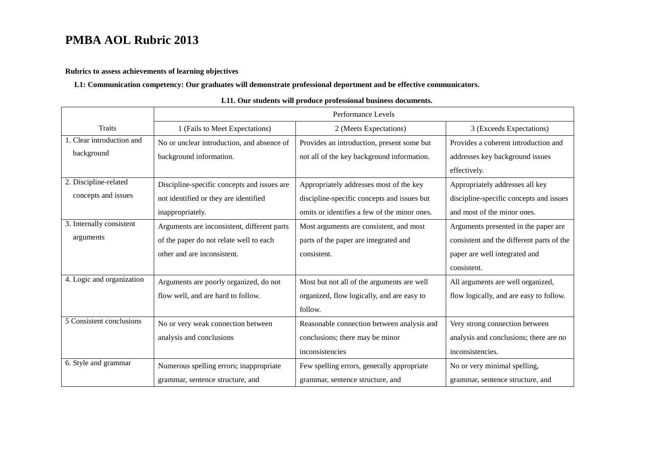### **Rubrics to assess achievements of learning objectives**

### **L1: Communication competency: Our graduates will demonstrate professional deportment and be effective communicators.**

|                           | Performance Levels                          |                                              |                                           |
|---------------------------|---------------------------------------------|----------------------------------------------|-------------------------------------------|
| <b>Traits</b>             | 1 (Fails to Meet Expectations)              | 2 (Meets Expectations)                       | 3 (Exceeds Expectations)                  |
| 1. Clear introduction and | No or unclear introduction, and absence of  | Provides an introduction, present some but   | Provides a coherent introduction and      |
| background                | background information.                     | not all of the key background information.   | addresses key background issues           |
|                           |                                             |                                              | effectively.                              |
| 2. Discipline-related     | Discipline-specific concepts and issues are | Appropriately addresses most of the key      | Appropriately addresses all key           |
| concepts and issues       | not identified or they are identified       | discipline-specific concepts and issues but  | discipline-specific concepts and issues   |
|                           | inappropriately.                            | omits or identifies a few of the minor ones. | and most of the minor ones.               |
| 3. Internally consistent  | Arguments are inconsistent, different parts | Most arguments are consistent, and most      | Arguments presented in the paper are      |
| arguments                 | of the paper do not relate well to each     | parts of the paper are integrated and        | consistent and the different parts of the |
|                           | other and are inconsistent.                 | consistent.                                  | paper are well integrated and             |
|                           |                                             |                                              | consistent.                               |
| 4. Logic and organization | Arguments are poorly organized, do not      | Most but not all of the arguments are well   | All arguments are well organized,         |
|                           | flow well, and are hard to follow.          | organized, flow logically, and are easy to   | flow logically, and are easy to follow.   |
|                           |                                             | follow.                                      |                                           |
| 5 Consistent conclusions  | No or very weak connection between          | Reasonable connection between analysis and   | Very strong connection between            |
|                           | analysis and conclusions                    | conclusions; there may be minor              | analysis and conclusions; there are no    |
|                           |                                             | inconsistencies                              | inconsistencies.                          |
| 6. Style and grammar      | Numerous spelling errors; inappropriate     | Few spelling errors, generally appropriate   | No or very minimal spelling,              |
|                           | grammar, sentence structure, and            | grammar, sentence structure, and             | grammar, sentence structure, and          |

#### **L11. Our students will produce professional business documents.**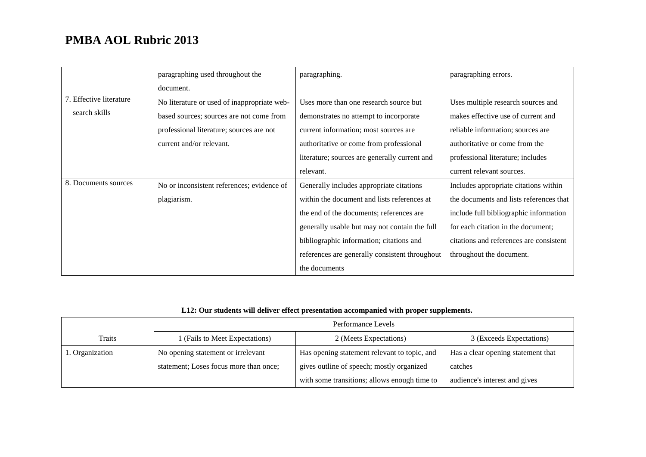|                         | paragraphing used throughout the            | paragraphing.                                  | paragraphing errors.                    |
|-------------------------|---------------------------------------------|------------------------------------------------|-----------------------------------------|
|                         | document.                                   |                                                |                                         |
| 7. Effective literature | No literature or used of inappropriate web- | Uses more than one research source but         | Uses multiple research sources and      |
| search skills           | based sources; sources are not come from    | demonstrates no attempt to incorporate         | makes effective use of current and      |
|                         | professional literature; sources are not    | current information; most sources are          | reliable information; sources are       |
|                         | current and/or relevant.                    | authoritative or come from professional        | authoritative or come from the          |
|                         |                                             | literature; sources are generally current and  | professional literature; includes       |
|                         |                                             | relevant.                                      | current relevant sources.               |
| 8. Documents sources    | No or inconsistent references; evidence of  | Generally includes appropriate citations       | Includes appropriate citations within   |
|                         | plagiarism.                                 | within the document and lists references at    | the documents and lists references that |
|                         |                                             | the end of the documents; references are       | include full bibliographic information  |
|                         |                                             | generally usable but may not contain the full  | for each citation in the document;      |
|                         |                                             | bibliographic information; citations and       | citations and references are consistent |
|                         |                                             | references are generally consistent throughout | throughout the document.                |
|                         |                                             | the documents                                  |                                         |

## **L12: Our students will deliver effect presentation accompanied with proper supplements.**

|                 | Performance Levels                     |                                              |                                    |
|-----------------|----------------------------------------|----------------------------------------------|------------------------------------|
| <b>Traits</b>   | (Fails to Meet Expectations)           | 2 (Meets Expectations)                       | 3 (Exceeds Expectations)           |
| 1. Organization | No opening statement or irrelevant     | Has opening statement relevant to topic, and | Has a clear opening statement that |
|                 | statement; Loses focus more than once; | gives outline of speech; mostly organized    | catches                            |
|                 |                                        | with some transitions; allows enough time to | audience's interest and gives      |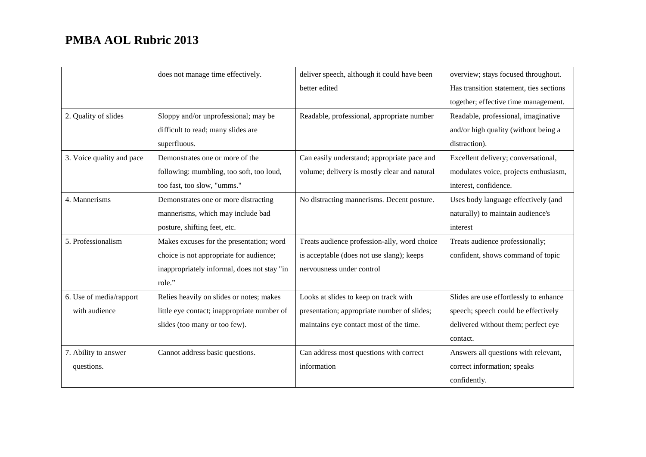|                           | does not manage time effectively.           | deliver speech, although it could have been  | overview; stays focused throughout.     |
|---------------------------|---------------------------------------------|----------------------------------------------|-----------------------------------------|
|                           |                                             | better edited                                | Has transition statement, ties sections |
|                           |                                             |                                              | together; effective time management.    |
| 2. Quality of slides      | Sloppy and/or unprofessional; may be        | Readable, professional, appropriate number   | Readable, professional, imaginative     |
|                           | difficult to read; many slides are          |                                              | and/or high quality (without being a    |
|                           | superfluous.                                |                                              | distraction).                           |
| 3. Voice quality and pace | Demonstrates one or more of the             | Can easily understand; appropriate pace and  | Excellent delivery; conversational,     |
|                           | following: mumbling, too soft, too loud,    | volume; delivery is mostly clear and natural | modulates voice, projects enthusiasm,   |
|                           | too fast, too slow, "umms."                 |                                              | interest, confidence.                   |
| 4. Mannerisms             | Demonstrates one or more distracting        | No distracting mannerisms. Decent posture.   | Uses body language effectively (and     |
|                           | mannerisms, which may include bad           |                                              | naturally) to maintain audience's       |
|                           | posture, shifting feet, etc.                |                                              | interest                                |
| 5. Professionalism        | Makes excuses for the presentation; word    | Treats audience profession-ally, word choice | Treats audience professionally;         |
|                           | choice is not appropriate for audience;     | is acceptable (does not use slang); keeps    | confident, shows command of topic       |
|                           | inappropriately informal, does not stay "in | nervousness under control                    |                                         |
|                           | role."                                      |                                              |                                         |
| 6. Use of media/rapport   | Relies heavily on slides or notes; makes    | Looks at slides to keep on track with        | Slides are use effortlessly to enhance  |
| with audience             | little eye contact; inappropriate number of | presentation; appropriate number of slides;  | speech; speech could be effectively     |
|                           | slides (too many or too few).               | maintains eye contact most of the time.      | delivered without them; perfect eye     |
|                           |                                             |                                              | contact.                                |
| 7. Ability to answer      | Cannot address basic questions.             | Can address most questions with correct      | Answers all questions with relevant,    |
| questions.                |                                             | information                                  | correct information; speaks             |
|                           |                                             |                                              | confidently.                            |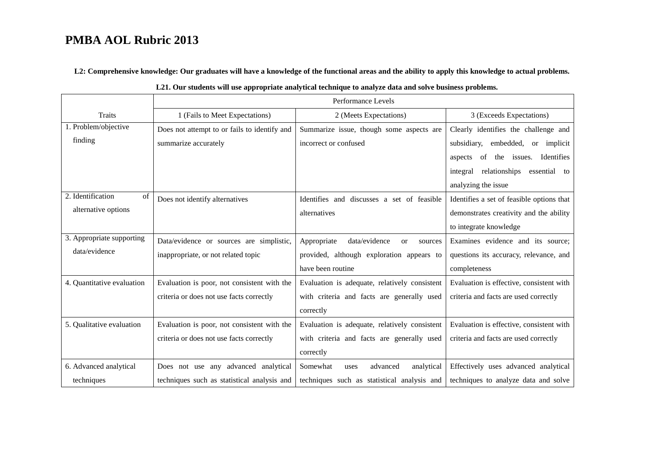**L2: Comprehensive knowledge: Our graduates will have a knowledge of the functional areas and the ability to apply this knowledge to actual problems.**

|                            | Performance Levels                           |                                                      |                                           |
|----------------------------|----------------------------------------------|------------------------------------------------------|-------------------------------------------|
| <b>Traits</b>              | 1 (Fails to Meet Expectations)               | 2 (Meets Expectations)                               | 3 (Exceeds Expectations)                  |
| 1. Problem/objective       | Does not attempt to or fails to identify and | Summarize issue, though some aspects are             | Clearly identifies the challenge and      |
| finding                    | summarize accurately                         | incorrect or confused                                | subsidiary, embedded, or implicit         |
|                            |                                              |                                                      | aspects of the issues. Identifies         |
|                            |                                              |                                                      | integral relationships essential to       |
|                            |                                              |                                                      | analyzing the issue                       |
| 2. Identification<br>of    | Does not identify alternatives               | Identifies and discusses a set of feasible           | Identifies a set of feasible options that |
| alternative options        |                                              | alternatives                                         | demonstrates creativity and the ability   |
|                            |                                              |                                                      | to integrate knowledge                    |
| 3. Appropriate supporting  | Data/evidence or sources are simplistic,     | Appropriate<br>data/evidence<br><b>or</b><br>sources | Examines evidence and its source;         |
| data/evidence              | inappropriate, or not related topic          | provided, although exploration appears to            | questions its accuracy, relevance, and    |
|                            |                                              | have been routine                                    | completeness                              |
| 4. Quantitative evaluation | Evaluation is poor, not consistent with the  | Evaluation is adequate, relatively consistent        | Evaluation is effective, consistent with  |
|                            | criteria or does not use facts correctly     | with criteria and facts are generally used           | criteria and facts are used correctly     |
|                            |                                              | correctly                                            |                                           |
| 5. Qualitative evaluation  | Evaluation is poor, not consistent with the  | Evaluation is adequate, relatively consistent        | Evaluation is effective, consistent with  |
|                            | criteria or does not use facts correctly     | with criteria and facts are generally used           | criteria and facts are used correctly     |
|                            |                                              | correctly                                            |                                           |
| 6. Advanced analytical     | Does not use any advanced analytical         | Somewhat<br>analytical<br>advanced<br>uses           | Effectively uses advanced analytical      |
| techniques                 | techniques such as statistical analysis and  | techniques such as statistical analysis and          | techniques to analyze data and solve      |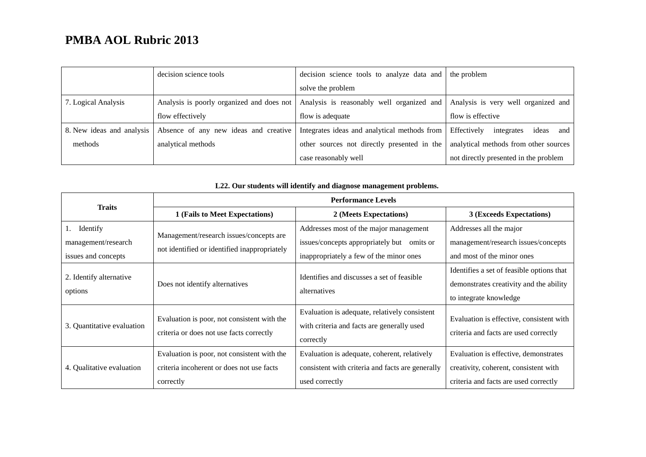|                           | decision science tools                    | decision science tools to analyze data and the problem |                                           |
|---------------------------|-------------------------------------------|--------------------------------------------------------|-------------------------------------------|
|                           |                                           | solve the problem                                      |                                           |
| 7. Logical Analysis       | Analysis is poorly organized and does not | Analysis is reasonably well organized and              | Analysis is very well organized and       |
|                           | flow effectively                          | flow is adequate                                       | flow is effective                         |
| 8. New ideas and analysis | Absence of any new ideas and creative     | Integrates ideas and analytical methods from           | Effectively<br>integrates<br>ideas<br>and |
| methods                   | analytical methods                        | other sources not directly presented in the            | analytical methods from other sources     |
|                           |                                           | case reasonably well                                   | not directly presented in the problem     |

| <b>Traits</b>                                                | <b>Performance Levels</b>                                                                             |                                                                                                                                 |                                                                                                                         |
|--------------------------------------------------------------|-------------------------------------------------------------------------------------------------------|---------------------------------------------------------------------------------------------------------------------------------|-------------------------------------------------------------------------------------------------------------------------|
|                                                              | 1 (Fails to Meet Expectations)                                                                        | 2 (Meets Expectations)                                                                                                          | 3 (Exceeds Expectations)                                                                                                |
| Identify<br>1.<br>management/research<br>issues and concepts | Management/research issues/concepts are<br>not identified or identified inappropriately               | Addresses most of the major management<br>issues/concepts appropriately but omits or<br>inappropriately a few of the minor ones | Addresses all the major<br>management/research issues/concepts<br>and most of the minor ones                            |
| 2. Identify alternative<br>options                           | Does not identify alternatives                                                                        | Identifies and discusses a set of feasible<br>alternatives                                                                      | Identifies a set of feasible options that<br>demonstrates creativity and the ability<br>to integrate knowledge          |
| 3. Quantitative evaluation                                   | Evaluation is poor, not consistent with the<br>criteria or does not use facts correctly               | Evaluation is adequate, relatively consistent<br>with criteria and facts are generally used<br>correctly                        | Evaluation is effective, consistent with<br>criteria and facts are used correctly                                       |
| 4. Qualitative evaluation                                    | Evaluation is poor, not consistent with the<br>criteria incoherent or does not use facts<br>correctly | Evaluation is adequate, coherent, relatively<br>consistent with criteria and facts are generally<br>used correctly              | Evaluation is effective, demonstrates<br>creativity, coherent, consistent with<br>criteria and facts are used correctly |

### **L22. Our students will identify and diagnose management problems.**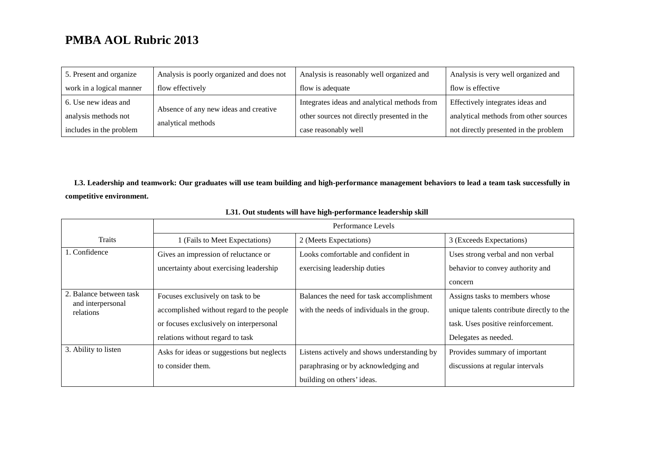| 5. Present and organize  | Analysis is poorly organized and does not | Analysis is reasonably well organized and    | Analysis is very well organized and   |
|--------------------------|-------------------------------------------|----------------------------------------------|---------------------------------------|
| work in a logical manner | flow effectively                          | flow is adequate                             | flow is effective                     |
| 6. Use new ideas and     |                                           | Integrates ideas and analytical methods from | Effectively integrates ideas and      |
| analysis methods not     | Absence of any new ideas and creative     | other sources not directly presented in the  | analytical methods from other sources |
| includes in the problem  | analytical methods                        | case reasonably well                         | not directly presented in the problem |

**L3. Leadership and teamwork: Our graduates will use team building and high-performance management behaviors to lead a team task successfully in competitive environment.**

|                                | Performance Levels                         |                                             |                                           |
|--------------------------------|--------------------------------------------|---------------------------------------------|-------------------------------------------|
| <b>Traits</b>                  | 1 (Fails to Meet Expectations)             | 2 (Meets Expectations)                      | 3 (Exceeds Expectations)                  |
| 1. Confidence                  | Gives an impression of reluctance or       | Looks comfortable and confident in          | Uses strong verbal and non verbal         |
|                                | uncertainty about exercising leadership    | exercising leadership duties                | behavior to convey authority and          |
|                                |                                            |                                             | concern                                   |
| 2. Balance between task        | Focuses exclusively on task to be          | Balances the need for task accomplishment   | Assigns tasks to members whose            |
| and interpersonal<br>relations | accomplished without regard to the people  | with the needs of individuals in the group. | unique talents contribute directly to the |
|                                | or focuses exclusively on interpersonal    |                                             | task. Uses positive reinforcement.        |
|                                | relations without regard to task           |                                             | Delegates as needed.                      |
| 3. Ability to listen           | Asks for ideas or suggestions but neglects | Listens actively and shows understanding by | Provides summary of important             |
|                                | to consider them.                          | paraphrasing or by acknowledging and        | discussions at regular intervals          |
|                                |                                            | building on others' ideas.                  |                                           |

### **L31. Out students will have high-performance leadership skill**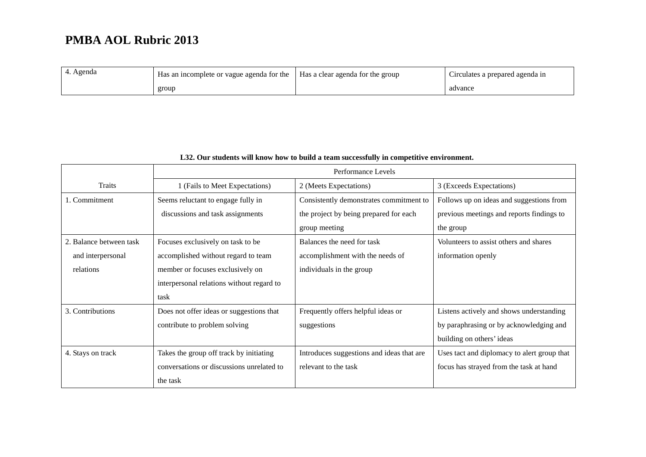| 4. Agenda | Has an incomplete or vague agenda for the | Has a clear agenda for the group | $\sim$<br>Circulates a prepared agenda in |
|-----------|-------------------------------------------|----------------------------------|-------------------------------------------|
|           | group                                     |                                  | advance                                   |

|                         | Performance Levels                        |                                           |                                             |
|-------------------------|-------------------------------------------|-------------------------------------------|---------------------------------------------|
| Traits                  | 1 (Fails to Meet Expectations)            | 2 (Meets Expectations)                    | 3 (Exceeds Expectations)                    |
| 1. Commitment           | Seems reluctant to engage fully in        | Consistently demonstrates commitment to   | Follows up on ideas and suggestions from    |
|                         | discussions and task assignments          | the project by being prepared for each    | previous meetings and reports findings to   |
|                         |                                           | group meeting                             | the group                                   |
| 2. Balance between task | Focuses exclusively on task to be         | Balances the need for task                | Volunteers to assist others and shares      |
| and interpersonal       | accomplished without regard to team       | accomplishment with the needs of          | information openly                          |
| relations               | member or focuses exclusively on          | individuals in the group                  |                                             |
|                         | interpersonal relations without regard to |                                           |                                             |
|                         | task                                      |                                           |                                             |
| 3. Contributions        | Does not offer ideas or suggestions that  | Frequently offers helpful ideas or        | Listens actively and shows understanding    |
|                         | contribute to problem solving             | suggestions                               | by paraphrasing or by acknowledging and     |
|                         |                                           |                                           | building on others' ideas                   |
| 4. Stays on track       | Takes the group off track by initiating   | Introduces suggestions and ideas that are | Uses tact and diplomacy to alert group that |
|                         | conversations or discussions unrelated to | relevant to the task                      | focus has strayed from the task at hand     |
|                         | the task                                  |                                           |                                             |

### **L32. Our students will know how to build a team successfully in competitive environment.**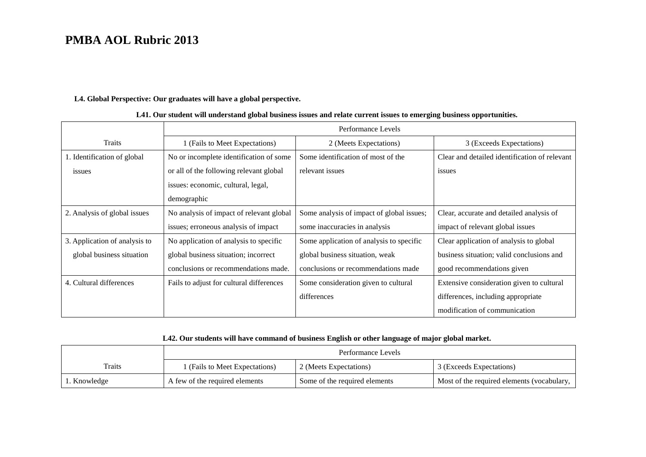### **L4. Global Perspective: Our graduates will have a global perspective.**

|                               | Performance Levels                       |                                           |                                               |
|-------------------------------|------------------------------------------|-------------------------------------------|-----------------------------------------------|
| <b>Traits</b>                 | 1 (Fails to Meet Expectations)           | 2 (Meets Expectations)                    | 3 (Exceeds Expectations)                      |
| 1. Identification of global   | No or incomplete identification of some  | Some identification of most of the        | Clear and detailed identification of relevant |
| issues                        | or all of the following relevant global  | relevant issues                           | issues                                        |
|                               | issues: economic, cultural, legal,       |                                           |                                               |
|                               | demographic                              |                                           |                                               |
| 2. Analysis of global issues  | No analysis of impact of relevant global | Some analysis of impact of global issues; | Clear, accurate and detailed analysis of      |
|                               | issues; erroneous analysis of impact     | some inaccuracies in analysis             | impact of relevant global issues              |
| 3. Application of analysis to | No application of analysis to specific   | Some application of analysis to specific  | Clear application of analysis to global       |
| global business situation     | global business situation; incorrect     | global business situation, weak           | business situation; valid conclusions and     |
|                               | conclusions or recommendations made.     | conclusions or recommendations made       | good recommendations given                    |
| 4. Cultural differences       | Fails to adjust for cultural differences | Some consideration given to cultural      | Extensive consideration given to cultural     |
|                               |                                          | differences                               | differences, including appropriate            |
|                               |                                          |                                           | modification of communication                 |

### **L41. Our student will understand global business issues and relate current issues to emerging business opportunities.**

### **L42. Our students will have command of business English or other language of major global market.**

|              | Performance Levels             |                               |                                              |
|--------------|--------------------------------|-------------------------------|----------------------------------------------|
| Traits       | 1 (Fails to Meet Expectations) | 2 (Meets Expectations)        | 3 (Exceeds Expectations)                     |
| 1. Knowledge | A few of the required elements | Some of the required elements | Most of the required elements (vocabulary, 1 |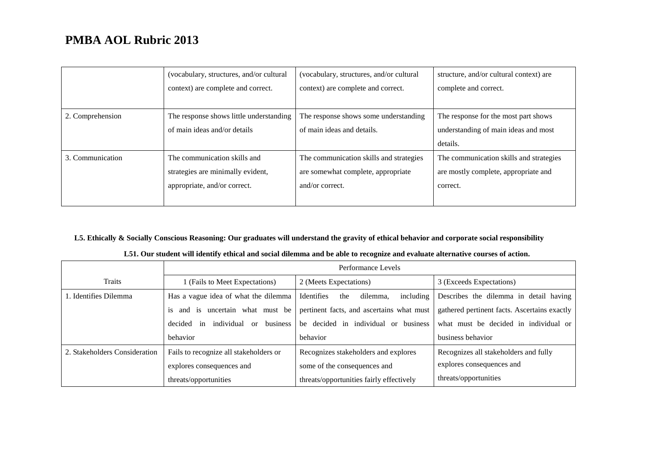|                  | (vocabulary, structures, and/or cultural | (vocabulary, structures, and/or cultural | structure, and/or cultural context) are |
|------------------|------------------------------------------|------------------------------------------|-----------------------------------------|
|                  | context) are complete and correct.       | context) are complete and correct.       | complete and correct.                   |
|                  |                                          |                                          |                                         |
| 2. Comprehension | The response shows little understanding  | The response shows some understanding    | The response for the most part shows    |
|                  | of main ideas and/or details             | of main ideas and details.               | understanding of main ideas and most    |
|                  |                                          |                                          | details.                                |
| 3. Communication | The communication skills and             | The communication skills and strategies  | The communication skills and strategies |
|                  | strategies are minimally evident,        | are somewhat complete, appropriate       | are mostly complete, appropriate and    |
|                  | appropriate, and/or correct.             | and/or correct.                          | correct.                                |
|                  |                                          |                                          |                                         |

## **L5. Ethically & Socially Conscious Reasoning: Our graduates will understand the gravity of ethical behavior and corporate social responsibility**

|  | L51. Our student will identify ethical and social dilemma and be able to recognize and evaluate alternative courses of action. |
|--|--------------------------------------------------------------------------------------------------------------------------------|
|--|--------------------------------------------------------------------------------------------------------------------------------|

|                               | Performance Levels                                       |                                            |                                              |
|-------------------------------|----------------------------------------------------------|--------------------------------------------|----------------------------------------------|
| Traits                        | (Fails to Meet Expectations)                             | 2 (Meets Expectations)                     | 3 (Exceeds Expectations)                     |
| 1. Identifies Dilemma         | Has a vague idea of what the dilemma                     | including<br>Identifies<br>dilemma.<br>the | Describes the dilemma in detail having       |
|                               | is and is uncertain what must be                         | pertinent facts, and ascertains what must  | gathered pertinent facts. Ascertains exactly |
|                               | individual<br>business<br>decided<br>in<br><sub>or</sub> | be decided in individual or business       | what must be decided in individual or        |
|                               | behavior                                                 | behavior                                   | business behavior                            |
| 2. Stakeholders Consideration | Fails to recognize all stakeholders or                   | Recognizes stakeholders and explores       | Recognizes all stakeholders and fully        |
|                               | explores consequences and                                | some of the consequences and               | explores consequences and                    |
|                               | threats/opportunities                                    | threats/opportunities fairly effectively   | threats/opportunities                        |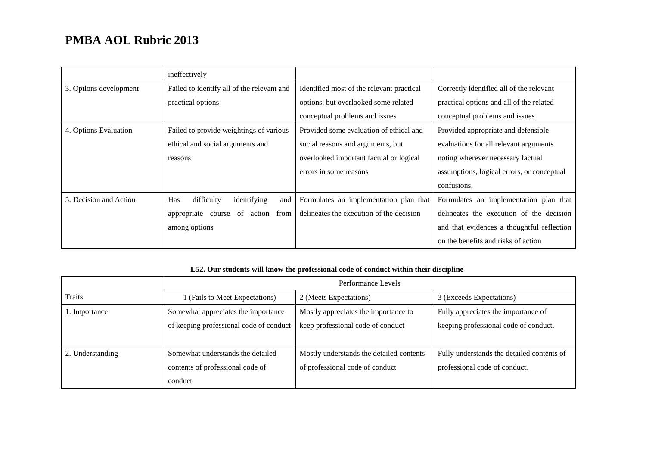|                        | ineffectively                                  |                                           |                                            |
|------------------------|------------------------------------------------|-------------------------------------------|--------------------------------------------|
| 3. Options development | Failed to identify all of the relevant and     | Identified most of the relevant practical | Correctly identified all of the relevant   |
|                        | practical options                              | options, but overlooked some related      | practical options and all of the related   |
|                        |                                                | conceptual problems and issues            | conceptual problems and issues             |
| 4. Options Evaluation  | Failed to provide weightings of various        | Provided some evaluation of ethical and   | Provided appropriate and defensible        |
|                        | ethical and social arguments and               | social reasons and arguments, but         | evaluations for all relevant arguments     |
|                        | reasons                                        | overlooked important factual or logical   | noting wherever necessary factual          |
|                        |                                                | errors in some reasons                    | assumptions, logical errors, or conceptual |
|                        |                                                |                                           | confusions.                                |
| 5. Decision and Action | <b>Has</b><br>difficulty<br>identifying<br>and | Formulates an implementation plan that    | Formulates an implementation plan that     |
|                        | of<br>from<br>appropriate<br>action<br>course  | delineates the execution of the decision  | delineates the execution of the decision   |
|                        | among options                                  |                                           | and that evidences a thoughtful reflection |
|                        |                                                |                                           | on the benefits and risks of action        |

### **L52. Our students will know the professional code of conduct within their discipline**

|                  | Performance Levels                      |                                          |                                            |
|------------------|-----------------------------------------|------------------------------------------|--------------------------------------------|
| Traits           | 1 (Fails to Meet Expectations)          | 2 (Meets Expectations)                   | 3 (Exceeds Expectations)                   |
| 1. Importance    | Somewhat appreciates the importance     | Mostly appreciates the importance to     | Fully appreciates the importance of        |
|                  | of keeping professional code of conduct | keep professional code of conduct        | keeping professional code of conduct.      |
|                  |                                         |                                          |                                            |
| 2. Understanding | Somewhat understands the detailed       | Mostly understands the detailed contents | Fully understands the detailed contents of |
|                  | contents of professional code of        | of professional code of conduct          | professional code of conduct.              |
|                  | conduct                                 |                                          |                                            |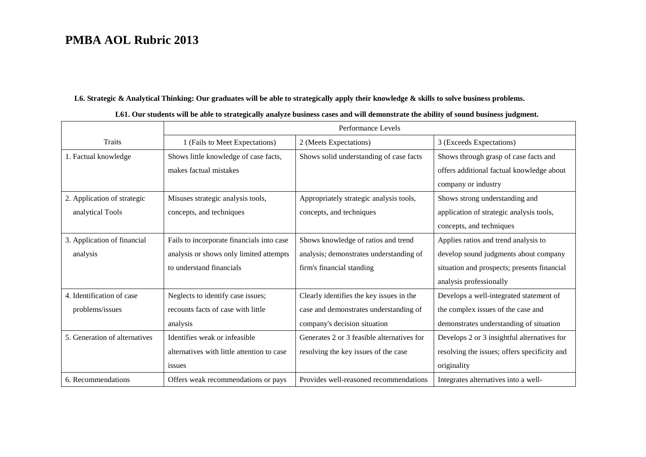### **L6. Strategic & Analytical Thinking: Our graduates will be able to strategically apply their knowledge & skills to solve business problems.**

|                               |                                            | Performance Levels                         |                                              |
|-------------------------------|--------------------------------------------|--------------------------------------------|----------------------------------------------|
| <b>Traits</b>                 | 1 (Fails to Meet Expectations)             | 2 (Meets Expectations)                     | 3 (Exceeds Expectations)                     |
| 1. Factual knowledge          | Shows little knowledge of case facts,      | Shows solid understanding of case facts    | Shows through grasp of case facts and        |
|                               | makes factual mistakes                     |                                            | offers additional factual knowledge about    |
|                               |                                            |                                            | company or industry                          |
| 2. Application of strategic   | Misuses strategic analysis tools,          | Appropriately strategic analysis tools,    | Shows strong understanding and               |
| analytical Tools              | concepts, and techniques                   | concepts, and techniques                   | application of strategic analysis tools,     |
|                               |                                            |                                            | concepts, and techniques                     |
| 3. Application of financial   | Fails to incorporate financials into case  | Shows knowledge of ratios and trend        | Applies ratios and trend analysis to         |
| analysis                      | analysis or shows only limited attempts    | analysis; demonstrates understanding of    | develop sound judgments about company        |
|                               | to understand financials                   | firm's financial standing                  | situation and prospects; presents financial  |
|                               |                                            |                                            | analysis professionally                      |
| 4. Identification of case     | Neglects to identify case issues;          | Clearly identifies the key issues in the   | Develops a well-integrated statement of      |
| problems/issues               | recounts facts of case with little         | case and demonstrates understanding of     | the complex issues of the case and           |
|                               | analysis                                   | company's decision situation               | demonstrates understanding of situation      |
| 5. Generation of alternatives | Identifies weak or infeasible              | Generates 2 or 3 feasible alternatives for | Develops 2 or 3 insightful alternatives for  |
|                               | alternatives with little attention to case | resolving the key issues of the case       | resolving the issues; offers specificity and |
|                               | issues                                     |                                            | originality                                  |
| 6. Recommendations            | Offers weak recommendations or pays        | Provides well-reasoned recommendations     | Integrates alternatives into a well-         |

### **L61. Our students will be able to strategically analyze business cases and will demonstrate the ability of sound business judgment.**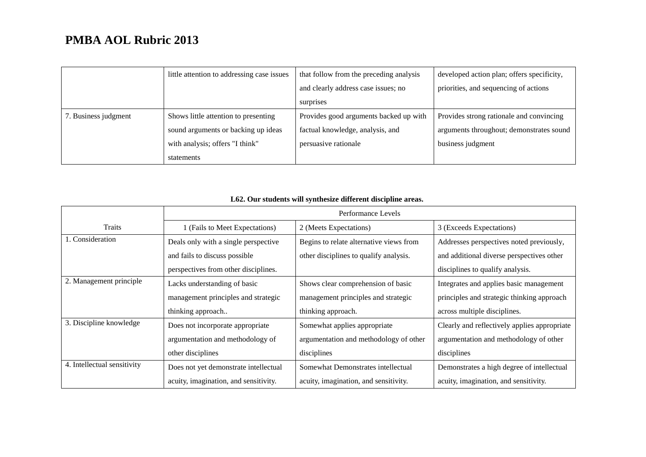|                      | little attention to addressing case issues | that follow from the preceding analysis | developed action plan; offers specificity, |
|----------------------|--------------------------------------------|-----------------------------------------|--------------------------------------------|
|                      |                                            | and clearly address case issues; no     | priorities, and sequencing of actions      |
|                      |                                            | surprises                               |                                            |
| 7. Business judgment | Shows little attention to presenting       | Provides good arguments backed up with  | Provides strong rationale and convincing   |
|                      | sound arguments or backing up ideas        | factual knowledge, analysis, and        | arguments throughout; demonstrates sound   |
|                      | with analysis; offers "I think"            | persuasive rationale                    | business judgment                          |
|                      | statements                                 |                                         |                                            |

|                             | Performance Levels                    |                                         |                                              |
|-----------------------------|---------------------------------------|-----------------------------------------|----------------------------------------------|
| Traits                      | 1 (Fails to Meet Expectations)        | 2 (Meets Expectations)                  | 3 (Exceeds Expectations)                     |
| 1. Consideration            | Deals only with a single perspective  | Begins to relate alternative views from | Addresses perspectives noted previously,     |
|                             | and fails to discuss possible         | other disciplines to qualify analysis.  | and additional diverse perspectives other    |
|                             | perspectives from other disciplines.  |                                         | disciplines to qualify analysis.             |
| 2. Management principle     | Lacks understanding of basic          | Shows clear comprehension of basic      | Integrates and applies basic management      |
|                             | management principles and strategic   | management principles and strategic     | principles and strategic thinking approach   |
|                             | thinking approach                     | thinking approach.                      | across multiple disciplines.                 |
| 3. Discipline knowledge     | Does not incorporate appropriate      | Somewhat applies appropriate            | Clearly and reflectively applies appropriate |
|                             | argumentation and methodology of      | argumentation and methodology of other  | argumentation and methodology of other       |
|                             | other disciplines                     | disciplines                             | disciplines                                  |
| 4. Intellectual sensitivity | Does not yet demonstrate intellectual | Somewhat Demonstrates intellectual      | Demonstrates a high degree of intellectual   |
|                             | acuity, imagination, and sensitivity. | acuity, imagination, and sensitivity.   | acuity, imagination, and sensitivity.        |

## **L62. Our students will synthesize different discipline areas.**